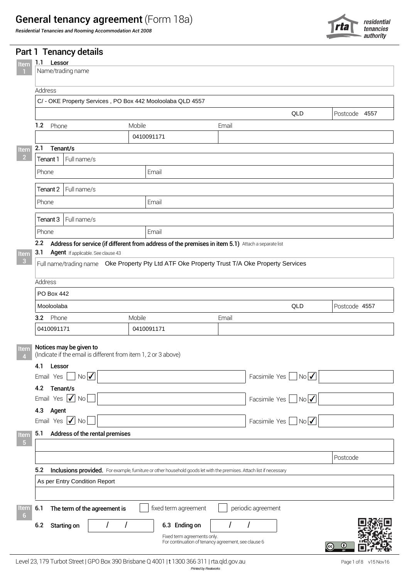# General tenancy agreement (Form 18a)

*Residential Tenancies and Rooming Accommodation Act 2008*



| Name/trading name                                                                         |        |                                                                                                                      |       |                                                 |               |
|-------------------------------------------------------------------------------------------|--------|----------------------------------------------------------------------------------------------------------------------|-------|-------------------------------------------------|---------------|
| Address                                                                                   |        |                                                                                                                      |       |                                                 |               |
| C/ - OKE Property Services, PO Box 442 Mooloolaba QLD 4557                                |        |                                                                                                                      |       |                                                 |               |
|                                                                                           |        |                                                                                                                      |       | QLD                                             | Postcode 4557 |
| 1.2 Phone                                                                                 | Mobile |                                                                                                                      | Email |                                                 |               |
|                                                                                           |        | 0410091171                                                                                                           |       |                                                 |               |
| 2.1<br>Tenant/s                                                                           |        |                                                                                                                      |       |                                                 |               |
| Full name/s<br>Tenant 1                                                                   |        |                                                                                                                      |       |                                                 |               |
| Phone                                                                                     |        | Email                                                                                                                |       |                                                 |               |
| Tenant 2   Full name/s                                                                    |        |                                                                                                                      |       |                                                 |               |
|                                                                                           |        | Email                                                                                                                |       |                                                 |               |
| Phone                                                                                     |        |                                                                                                                      |       |                                                 |               |
| Tenant $3$   Full name/s                                                                  |        |                                                                                                                      |       |                                                 |               |
| Phone                                                                                     |        | Email                                                                                                                |       |                                                 |               |
| Address<br>PO Box 442                                                                     |        |                                                                                                                      |       |                                                 |               |
|                                                                                           |        |                                                                                                                      |       |                                                 |               |
| Mooloolaba                                                                                |        |                                                                                                                      |       | QLD                                             | Postcode 4557 |
| 3.2 Phone                                                                                 | Mobile |                                                                                                                      | Email |                                                 |               |
| 0410091171                                                                                |        | 0410091171                                                                                                           |       |                                                 |               |
| Notices may be given to<br>(Indicate if the email is different from item 1, 2 or 3 above) |        |                                                                                                                      |       |                                                 |               |
| 4.1<br>Lessor                                                                             |        |                                                                                                                      |       |                                                 |               |
| NoV<br>Email Yes                                                                          |        |                                                                                                                      |       | NoV<br>Facsimile Yes                            |               |
| 4.2<br>Tenant/s<br>Email Yes $\vert \checkmark \vert$ No                                  |        |                                                                                                                      |       |                                                 |               |
| Agent<br>4.3                                                                              |        |                                                                                                                      |       | Facsimile Yes<br>$\blacksquare$ No $\checkmark$ |               |
| Email Yes $\vert \checkmark \vert$ No                                                     |        |                                                                                                                      |       | Facsimile Yes $ $ $ $ No $\checkmark$           |               |
| Address of the rental premises<br>5.1                                                     |        |                                                                                                                      |       |                                                 |               |
|                                                                                           |        |                                                                                                                      |       |                                                 |               |
|                                                                                           |        |                                                                                                                      |       |                                                 | Postcode      |
| 5.2                                                                                       |        | Inclusions provided. For example, furniture or other household goods let with the premises. Attach list if necessary |       |                                                 |               |
| As per Entry Condition Report                                                             |        |                                                                                                                      |       |                                                 |               |
|                                                                                           |        |                                                                                                                      |       |                                                 |               |
| The term of the agreement is<br>6.1                                                       |        | fixed term agreement                                                                                                 |       | periodic agreement                              |               |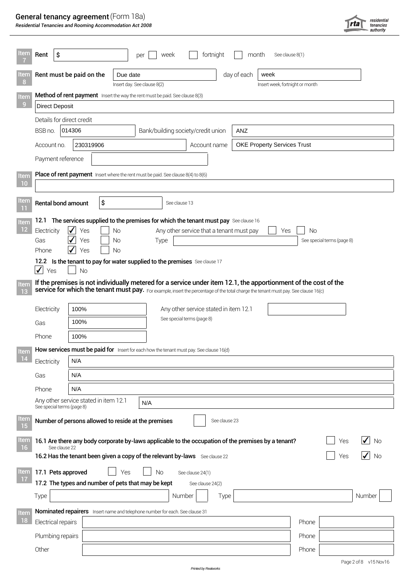# General tenancy agreement (Form 18a)

*Residential Tenancies and Rooming Accommodation Act 2008*

| tem                       | Rent                                                                           | \$                        |                          |                  | week<br>per                                                                                                                         |                                          | fortnight     | month       | See clause 8(1)                 |       |                            |                       |
|---------------------------|--------------------------------------------------------------------------------|---------------------------|--------------------------|------------------|-------------------------------------------------------------------------------------------------------------------------------------|------------------------------------------|---------------|-------------|---------------------------------|-------|----------------------------|-----------------------|
| tem                       |                                                                                |                           | Rent must be paid on the | Due date         |                                                                                                                                     |                                          |               | day of each | week                            |       |                            |                       |
| 8                         |                                                                                |                           |                          |                  | Insert day. See clause 8(2)                                                                                                         |                                          |               |             | Insert week, fortnight or month |       |                            |                       |
| Item                      |                                                                                |                           |                          |                  | Method of rent payment Insert the way the rent must be paid. See clause 8(3)                                                        |                                          |               |             |                                 |       |                            |                       |
| 9                         | <b>Direct Deposit</b>                                                          |                           |                          |                  |                                                                                                                                     |                                          |               |             |                                 |       |                            |                       |
|                           |                                                                                | Details for direct credit |                          |                  |                                                                                                                                     |                                          |               |             |                                 |       |                            |                       |
|                           | BSB no.                                                                        | 014306                    |                          |                  |                                                                                                                                     | Bank/building society/credit union       |               | ANZ         |                                 |       |                            |                       |
|                           | <b>OKE Property Services Trust</b><br>230319906<br>Account no.<br>Account name |                           |                          |                  |                                                                                                                                     |                                          |               |             |                                 |       |                            |                       |
|                           |                                                                                | Payment reference         |                          |                  |                                                                                                                                     |                                          |               |             |                                 |       |                            |                       |
| <b>Item</b>               |                                                                                |                           |                          |                  | <b>Place of rent payment</b> Insert where the rent must be paid. See clause 8(4) to 8(6)                                            |                                          |               |             |                                 |       |                            |                       |
| 10                        |                                                                                |                           |                          |                  |                                                                                                                                     |                                          |               |             |                                 |       |                            |                       |
| Item                      |                                                                                | Rental bond amount        |                          | \$               |                                                                                                                                     | See clause 13                            |               |             |                                 |       |                            |                       |
| m                         |                                                                                |                           |                          |                  |                                                                                                                                     |                                          |               |             |                                 |       |                            |                       |
| Item<br>$12 \overline{ }$ | 12.1                                                                           |                           |                          |                  | The services supplied to the premises for which the tenant must pay See clause 16                                                   |                                          |               |             |                                 |       |                            |                       |
|                           | Electricity<br>Gas                                                             |                           | Yes<br>Yes               | <b>No</b><br>No. | Type                                                                                                                                | Any other service that a tenant must pay |               |             | Yes                             | No    | See special terms (page 8) |                       |
|                           | Phone                                                                          | $\checkmark$              | Yes                      | <b>No</b>        |                                                                                                                                     |                                          |               |             |                                 |       |                            |                       |
|                           |                                                                                |                           |                          |                  | 12.2 Is the tenant to pay for water supplied to the premises See clause 17                                                          |                                          |               |             |                                 |       |                            |                       |
|                           | $\checkmark$<br>Yes                                                            |                           | <b>No</b>                |                  |                                                                                                                                     |                                          |               |             |                                 |       |                            |                       |
| Item                      |                                                                                |                           |                          |                  | If the premises is not individually metered for a service under item 12.1, the apportionment of the cost of the                     |                                          |               |             |                                 |       |                            |                       |
| 13                        |                                                                                |                           |                          |                  | service for which the tenant must pay. For example, insert the percentage of the total charge the tenant must pay. See clause 16(c) |                                          |               |             |                                 |       |                            |                       |
|                           | Electricity                                                                    |                           | 100%                     |                  |                                                                                                                                     | Any other service stated in item 12.1    |               |             |                                 |       |                            |                       |
|                           | Gas                                                                            |                           | 100%                     |                  |                                                                                                                                     | See special terms (page 8)               |               |             |                                 |       |                            |                       |
|                           | Phone                                                                          |                           | 100%                     |                  |                                                                                                                                     |                                          |               |             |                                 |       |                            |                       |
| Item                      |                                                                                |                           |                          |                  | How services must be paid for Insert for each how the tenant must pay. See clause 16(d)                                             |                                          |               |             |                                 |       |                            |                       |
| 14                        | Electricity                                                                    | N/A                       |                          |                  |                                                                                                                                     |                                          |               |             |                                 |       |                            |                       |
|                           | Gas                                                                            | N/A                       |                          |                  |                                                                                                                                     |                                          |               |             |                                 |       |                            |                       |
|                           | Phone<br>N/A                                                                   |                           |                          |                  |                                                                                                                                     |                                          |               |             |                                 |       |                            |                       |
|                           | Any other service stated in item 12.1<br>N/A<br>See special terms (page 8)     |                           |                          |                  |                                                                                                                                     |                                          |               |             |                                 |       |                            |                       |
| <u>Item</u><br>15         |                                                                                |                           |                          |                  | Number of persons allowed to reside at the premises                                                                                 |                                          | See clause 23 |             |                                 |       |                            |                       |
| ltem                      |                                                                                |                           |                          |                  | 16.1 Are there any body corporate by-laws applicable to the occupation of the premises by a tenant?                                 |                                          |               |             |                                 |       | Yes                        | No                    |
| 16                        |                                                                                | See clause 22             |                          |                  | 16.2 Has the tenant been given a copy of the relevant by-laws See clause 22                                                         |                                          |               |             |                                 |       | Yes                        | No                    |
| <b>Item</b>               |                                                                                | 17.1 Pets approved        |                          | Yes              | <b>No</b>                                                                                                                           | See clause 24(1)                         |               |             |                                 |       |                            |                       |
| 17                        |                                                                                |                           |                          |                  | 17.2 The types and number of pets that may be kept                                                                                  | See clause 24(2)                         |               |             |                                 |       |                            |                       |
|                           | Type                                                                           |                           |                          |                  |                                                                                                                                     | Number                                   | Type          |             |                                 |       |                            | Number                |
| Item                      |                                                                                |                           |                          |                  | Nominated repairers Insert name and telephone number for each. See clause 31                                                        |                                          |               |             |                                 |       |                            |                       |
| 18                        |                                                                                | Electrical repairs        |                          |                  |                                                                                                                                     |                                          |               |             |                                 | Phone |                            |                       |
|                           |                                                                                | Plumbing repairs          |                          |                  |                                                                                                                                     |                                          |               |             |                                 | Phone |                            |                       |
|                           | Other                                                                          |                           |                          |                  |                                                                                                                                     |                                          |               |             |                                 | Phone |                            |                       |
|                           |                                                                                |                           |                          |                  |                                                                                                                                     |                                          |               |             |                                 |       |                            | Page 2 of 8 v15 Nov16 |

residential<br>tenancies<br>- authority

 $|rta|$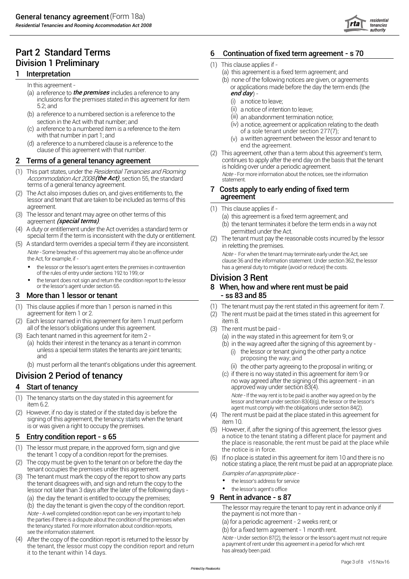# **Division 1 Preliminary Contract Contract Contract Contract Contract Contract Contract Contract Contract Contract Contract Contract Contract Contract Contract Contract Contract Contract Contract Contract Contract Contrac**

- (a) a reference to *the premises* includes a reference to any **canonical community of the premises** includes a reference to any  $\epsilon$ inclusions for the premises stated in this agreement for item 5.2; and
- (b) a reference to a numbered section is a reference to the section in the Act with that number; and
- (c) a reference to a numbered item is a reference to the item with that number in part 1; and
- (d) a reference to a numbered clause is a reference to the clause of this agreement with that number.

- (1) This part states, under the *Residential Tenancies and Rooming Note* For more information about the notices, see the information Ac*t 2008 (the Act),* section 55, the standard statement. In a statement statement. terms of a general tenancy agreement.<br>The Ast also improves duties an and given entitlements to the **7** Costs apply to early ending of fixed term
- (2) The Act also imposes duties on, and gives entitlements to, the lessor and tenant that are taken to be included as terms of this
- (3) The lessor and tenant may agree on other terms of this (a) this agreement is a fixed term agreement; and agreement (special terms).
- A duty or entitiement under the Act overrides a standard term or emitted under the Act.<br>Special term if the term is inconsistent with the duty or entitlement. (2) The tenant must pay the reasonable costs incurred by the le
- (5) A standard term overrides a special term if they are inconsistent. Note - Some breaches of this agreement may also be an offence under the Act, for example, if
	- of the rules of entry under sections 192 to 199; or
	- the tenant does not sign and return the condition report to the lessor **Division 3 Rent** or the lessor's agent under section 65. **8 When, how and where rent must be paid**

### 3 More than 1 lessor or tenant  $\overline{ }$  - ss 83 and 85

- (1) This clause applies if more than 1 person is named in this agreement for item 1 or 2.
- (2) Each lessor named in this agreement for item 1 must perform item 8. all of the lessor's obligations under this agreement. (3) The rent must be paid -<br>(3) Each tenant named in this agreement for item 2 - (3) (a) in the way stated in
- 
- (3) Each tenant named in this agreement for item 2 (a) in the way stated in this agreement for item 9; or<br>(5) Limit in the way agreed after the signing of this agreem) (5) (6) (6) (6) (6) in the way agreed after the sign holds their interest in the tenancy as a tenant in common (b) in the way agreed after the signing of this agreement by -<br>unless a special term states the tenants are joint tenants; (i) the lessor or tenant giving the other and
	- (b) must perform all the tenant's obligations under this agreement.

- (1) The tenancy starts on the day stated in this agreement for item 6.2.
- (2) However, if no day is stated or if the stated day is before the signing of this agreement, the tenancy starts when the tenant is or was given a right to occupy the premises.

## 5 Entry condition report - s 65

- (1) The lessor must prepare, in the approved form, sign and give the tenant 1 copy of a condition report for the premises.
- (2) The copy must be given to the tenant on or before the day the
- (3) The tenant must mark the copy of the report to show any parts the tenant disagrees with, and sign and return the copy to the lessor not later than 3 days after the later of the following days - (a) the day the tenant is entitled to occupy the premises; **9 Rent in advance - s 87**

(b) the day the tenant is given the copy of the condition report.<br>
Note - A well completed condition report can be very important to help<br>
the payment is not more than -Note - A well completed condition report can be very important to help the parties if there is a dispute about the condition of the premises when the tenancy started. For more information about condition reports, see the information statement.

(4) After the copy of the condition report is returned to the lessor by the tenant, the lessor must copy the condition report and return it to the tenant within 14 days.

## Part 2 Standard Terms 6 Continuation of fixed term agreement - s 70

- 
- **1** Interpretation **1** Interpretation **1** Interpretation
	- (b) none of the following notices are given, or agreements In this agreement - or applications made before the day the term ends (the
		- (i) a notice to leave;
		- (ii) a notice of intention to leave;
		- (iii) an abandonment termination notice;
		- (iv) a notice, agreement or application relating to the death of a sole tenant under section 277(7);
		- (v) a written agreement between the lessor and tenant to end the agreement.
	- (2) This agreement, other than a term about this agreement's term, **2** Terms of a general tenancy agreement **continues to apply after the end day on the basis that the tenant** is holding over under a periodic agreement.

# agreement

- $(1)$  This clause applies if -
	-
- agreement *(special terms)*.<br>(4) A duty or entitlement under the Act overrides a standard term or  $\frac{1}{2}$  or permitted under the Act
	- in reletting the premises.

 $Note$  - For when the tenant may terminate early under the Act, see<br>clause 36 and the information statement. Under section 362, the lessor clause <sup>36</sup> and the information statement. Under section 362, the lessor • has <sup>a</sup> general duty to mitigate (avoid or reduce) the costs. the lessor or the lessor's agent enters the premises in contravention

- (1) The tenant must pay the rent stated in this agreement for item 7.
- (2) The rent must be paid at the times stated in this agreement for
- -
	- - (i) the lessor or tenant giving the other party a notice proposing the way; and
		- $(i)$  the other party agreeing to the proposal in writing; or
- Division 2 Period of tenancy entity of the stated in this agreement for item 9 or no way agreed after the signing of this agreement - in an **4 Start of tenancy** approved way under section 83(4).

Note - If the way rent is to be paid is another way agreed on by the lessor and tenant under section 83(4)(g), the lessor or the lessor's agent must comply with the obligations under section 84(2).

- (4) The rent must be paid at the place stated in this agreement for item 10.
- (5) However, if, after the signing of this agreement, the lessor gives a notice to the tenant stating a different place for payment and the place is reasonable, the rent must be paid at the place while the notice is in force.
- If no place is stated in this agreement for item 10 and there is no notice stating a place, the rent must be paid at an appropriate place.<br>Examples of an appropriate place -

- the lessor's address for service
- the lessor's agent's office

(a) for a periodic agreement - 2 weeks rent; or

(b) for a fixed term agreement - 1 month rent.

Note - Under section 87(2), the lessor or the lessor's agent must not require a payment of rent under this agreement in a period for which rent has already been paid.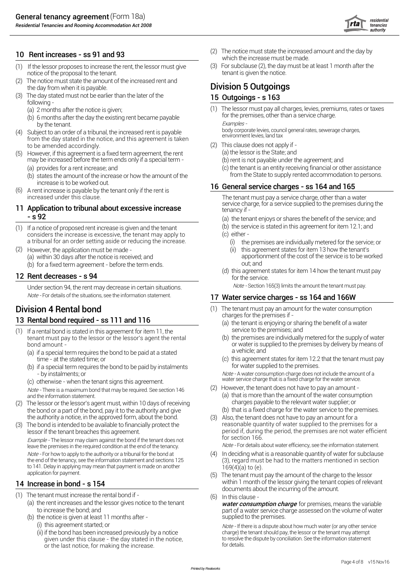*Residential Tenancies and Rooming Accommodation Act 2008*



- (1) If the lessor proposes to increase the rent, the lessor must give (3) For subclause (2), the day must be at least 1 month after the notice of the proposal to the tenant.
- The notice must state the amount of the increased rent and the day from when it is payable. The day from when it is payable.
- (3) The day stated must not be earlier than the later of the  $15$  Outgoings s  $163$ following -
	-
	- (b) 6 months after the day the existing rent became payable. To the property hy the tenant
- (4) Subject to an order of a tribunal, the increased rent is payable from the day stated in the notice, and this agreement is taken to be amended accordingly.
- (5) However, if this agreement is a fixed term agreement, the rent may be increased before the term ends only if a special term -
	-
	- (b) states the amount of the increase or how the amount of the
- (6) A rent increase is payable by the tenant only if the rent is increased under this clause.

# **11 Application to tribunal about excessive increase** tenancy if -<br>s 92 the tenancy if -

- (1) If a notice of proposed rent increase is given and the tenant considers the increase is excessive, the tenant may apply to a tribunal for an order setting aside or reducing the increase.
- (a) within 30 days after the notice is received; and (b) for a fixed term agreement - before the term ends.  $\qquad \qquad$  out; and However, the application must be made -

Under section 94, the rent may decrease in certain situations. Note - Section 165(3) limits the amount the tenant must pay.

- (1) If a rental bond is stated in this agreement for item 11, the service to the premises; and tenant must pay to the lessor or the lessor's agent the rental bond amount -
	- (a) if a special term requires the bond to be paid at a stated<br>time at the stated time: or
	- (b) if a special term requires the bond to be paid by instalments for water supplied to the premises.<br>Hote A water consumption charge does not include the amount of a
	-

Note - There is a maximum bond that may be required. See section 146

- $(2)$  The lessor or the lessor's agent must, within 10 days of receiving the bond or a part of the bond, pay it to the authority and give (b) that is a fixed charge for the water service to the premises. the authority a notice, in the approved form, about the bond.
- (3) The bond is intended to be available to financially protect the lessor if the tenant breaches this agreement. Example - The lessor may claim against the bond if the tenant does not Note - For how to apply to the authority or a tribunal for the bond at the end of the tenancy, see the information statement and sections 125 to 141. Delay in applying may mean that payment is made on another application for payment.

- 
- (1) The tenant must increase the rental bond if -<br>(a) the rent increases and the lessor gives notice to the tenant to increase the bond; and
	- (b) the notice is given at least 11 months after
		- (ii) if the bond has been increased previously by a notice given under this clause - the day stated in the notice, or the last notice, for making the increase.
- 10 Rent increases ss 91 and 93 and 93 and 10 Rent increased amount and the day by 10 Rent increased amount and the day by 10 Rent increase must be made.
	-

(a) 2 months after the notice is given; (1) The lessor must pay all charges, levies, premiums, rates or taxes<br>(b) 6 months after the day the existing rent became payable for the premises, other than a service charge.

by the tenant.<br>body corporate levies, council general rates, sewerage charges,<br>environment levies, land tax

- (2) This clause does not apply if
	- (a) the lessor is the State; and
		- (b) rent is not payable under the agreement; and
- (a) provides for a rent increase; and (c) the tenant is an entity receiving financial or other assistance<br>(b) states the amount of the increase or how the amount of the from the State to supply rented accommodation to pers

# increase is to be worked out.<br>16 General service charges - ss 164 and 165

The tenant must pay a service charge, other than a water<br>service charge, for a service supplied to the premises during the

- (a) the tenant enjoys or shares the benefit of the service; and
- (b) the service is stated in this agreement for item 12.1; and (c) either -
	- (i) the premises are individually metered for the service; or
	- (ii) this agreement states for item 13 how the tenant's<br>apportionment of the cost of the service is to be worked
- (d) this agreement states for item 14 how the tenant must pay<br>for the service.

## Note - For details of the situations, see the information statement. 17 Water service charges - ss 164 and 166W

- **Division 4 Rental bond** (1) The tenant must pay an amount for the water consumption<br> **Example 1990** to the premises if -
- 13 Rental bond required ss 111 and 116 (a) the tenant is enjoying or sharing the benefit of a water<br>
(b) If a rental bond is stated in this agreement for item 11 the service to the premises; and
	- (b) the premises are individually metered for the supply of water or water is supplied to the premises by delivery by means of<br>a vehicle: and
	- (c) this agreement states for item 12.2 that the tenant must pay for water supplied to the premises.

- by instalments; or<br>(c) otherwise - when the tenant signs this agreement.<br>Mote - There is a maximum bond that may be required. See section 146 (2) However, the tenant does not have to pay an amount -

- 
- and the information statement.<br>
and the information statement.<br>
The lessor or the lessor's agent must, within 10 days of receiving and the amount of the water supplier; or
	- Also, the tenant does not have to pay an amount for a reasonable quantity of water supplied to the premises for a period if, during the period, the premises are not water efficient for section 166.

leave the premises in the required condition at the end of the tenancy. Note - For details about water efficiency, see the information statement.

- (4) In deciding what is a reasonable quantity of water for subclause (3), regard must be had to the matters mentioned in section 169(4)(a) to (e).
- (5) The tenant must pay the amount of the charge to the lessor 14 Increase in bond - s 154 **Increase in bond - s 154** Within 1 month of the lessor giving the tenant copies of relevant documents about the incurring of the amount.
	- $(6)$  In this clause -

(a) the rent increases and the lessor gives notice to the tenant **for premise**r consumption charge for premises, means the variable part of a water service charge assessed on the volume of water supplied to the premises.

(i) this agreement started; or  $Note - If there is a dispute about how much water (or any other service$ charge) the tenant should pay, the lessor or the tenant may attempt to resolve the dispute by conciliation. See the information statement for details.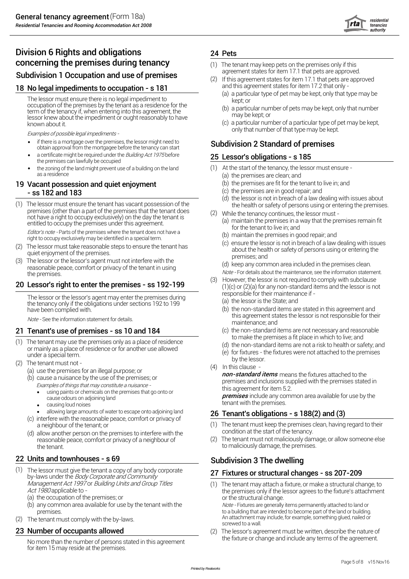

# Division 6 Rights and obligations 24 Pets **concerning the premises during tenancy** (1) The tenant may keep pets on the premises only if this<br> **Cubdivision 1 Occupation and use of premises**

### 18 No legal impediments to occupation - s 181

The lessor must ensure there is no legal impediment to occupation of the premises by the tenant as a residence for the term of the tenancy if, when entering into this agreement, the lessor knew about the impediment or ought reasonably to have known about it.

Examples of possible legal impediments -

- If there is a mortgage over the premises, the lessor might need to **Subdivision 2 Standard of premises**<br>obtain approval from the mortgagee before the tenancy can start **Subdivision 2 Standard of premises** if there is a mortgage over the premises, the lessor might need to
- the premises can lawfully be occupied a certificate might be required under the Building Act 1975 before
- the zoning of the land might prevent use of a building on the land (1) At the start of the tenancy, the lessor must ensure as a residence (a) the premises are clean; and

### 19 Vacant possession and quiet enjoyment (b) the premises are fit for the tenant to live in; and - ss 182 and 183

(1) The lessor must ensure the tenant has vacant possession of the the health or safety of persons using or entering the premises.<br>premises (other than a part of the premises that the tenant does  $\frac{1}{2}$  and this the te not have a right to occupy exclusively) on the day the tenant is entitled to occupy the premises under this agreement.

Editor's note - Parts of the premises where the tenant does not have a right to occupy exclusively may be identified in a special term.<br>
right to occupy exclusively may be identified in a special term.

- (2) The lessor must take reasonable steps to ensure the tenant has about the health or safety of persons using or entering the said the health or safety of persons using or entering the quiet enjoyment of the premises.<br>premises: and
- (3) The lessor or the lessor's agent must not interfere with the The resson of the resson stagent must not interfere with the<br>reasonable peace, comfort or privacy of the tenant in using<br>the premises.<br>the premises.

The lessor or the lessor's agent may enter the premises during the tenancy only if the obligations under sections 192 to 199 have been complied with.

- (1) The tenant may use the premises only as a place of residence or mainly as a place of residence or for another use allowed
- (2) The tenant must not -
	- (a) use the premises for an illegal purpose; or
	- (b) cause a nuisance by the use of the premises; or Examples of things that may constitute <sup>a</sup> nuisance
		- this agreement for item 5.2.<br>• using paints or chemicals on the premises that go onto or **the premises** include any express
		-
		- causing loud noises
		- allowing large amounts of water to escape onto adjoining land
	- (c) interfere with the reasonable peace, comfort or privacy of
	- (d) allow another person on the premises to interfere with the<br>reasonable peace, comfort or privacy of a neighbour of (2) the tenant to maliciously damage, the premises.

- (1) The lessor must give the tenant a copy of any body corporate **27 Fixtures or structural changes ss 207-209**<br>by-laws under the *Body Corporate and Community* The lessor must give the tenant a copy of any body corporate
	- (a) the occupation of the premises; or  $\blacksquare$  or the structural change.
	- (b) any common area available for use by the tenant with the Note Fixtures are generally items permanently attached to land or<br>to a building that are intended to become part of the land or building.
- (2) The tenant must comply with the by-laws.

No more than the number of persons stated in this agreement. for item 15 may reside at the premises.

- 
- **Subdivision 1 Occupation and use of premises**<br>and this agreement states for item 17.1 that pets are approximately<br>and this agreement states for item 17.2 that only -<br>and this agreement states for item 17.2 that only -(a) a particular type of pet may be kept, only that type may be (2) If this agreement states for item 17.1 that pets are approved
	- kept; or
	- (b) a particular number of pets may be kept, only that number may be kept; or
	- (c) a particular number of a particular type of pet may be kept,

### 25 Lessor's obligations - s 185

- 
- 
- 
- 
- (d) the lessor is not in breach of a law dealing with issues about
- (2) While the tenancy continues, the lessor must
	- (a) maintain the premises in a way that the premises remain fit for the tenant to live in; and
	-
	- (c) ensure the lessor is not in breach of a law dealing with issues

- Note For details about the maintenance, see the information statement.<br>(3) However, the lessor is not required to comply with subclause **20 Lessor's right to enter the premises - ss 192-199** (1)(c) or  $(2)(a)$  for any non-standard items and the lessor is not responsible for their maintenance if -
	- (a) the lessor is the State; and
	- (b) the non-standard items are stated in this agreement and Note - See the information statement for details.<br>
	Mote - See the information statement for details.<br>
	maintenance: and
- 21 Tenant's use of premises ss 10 and 184 (c) the non-standard items are not necessary and reasonable to make the premises a fit place in which to live; and
	- (d) the non-standard items are not a risk to health or safety; and
	- (e) for fixtures the fixtures were not attached to the premises<br>by the lessor.
	- (4) In this clause -

**non-standard items** means the fixtures attached to the premises and inclusions supplied with the premises stated in

cause odours on adjoining land<br>cause odours on adjoining land<br>cause odours on adjoining land tensive odours on adjoining land<br>
causing loud noises<br>
causing loud noises

## 26 Tenant's obligations - s  $188(2)$  and (3)

- a neighbour of the tenant; or (1) The tenant must keep the premises clean, having regard to their<br>allow another person on the premises to interfere with the condition at the start of the tenancy.
	- The tenant must not maliciously damage, or allow someone else

# 22 Units and townhouses - s 69 Subdivision 3 The dwelling

Management Act 1997 or Building Units and Group Titles (1) The tenant may attach a fixture, or make a structural change, to<br>Act 1980 applicable to the premises only if the lessor agrees to the fixture's attachment

An attachment may include, for example, something glued, nailed or<br>screwed to a wall.

23 **Number of occupants allowed** (2) The lessor's agreement must be written, describe the nature of the nature of the nature of the nature of the nature of the nature of the nature of the nature of the agreement.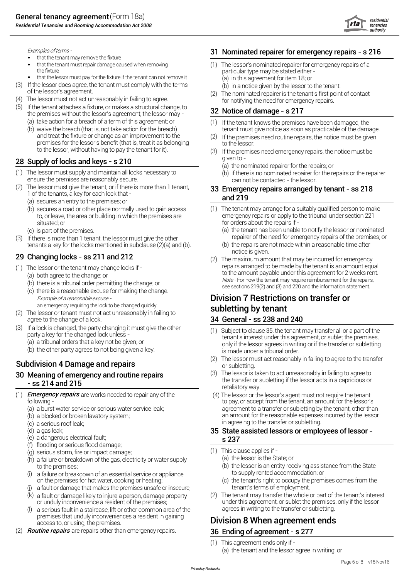

- that the tenant may remove the fixture
- that the tenant must repair damage caused when removing
- that the lessor must pay for the fixture if the tenant can not remove it (a) in this agreement for item 18; or
- (3) If the lessor does agree, the tenant must comply with the terms of the lessor's agreement.<br>
(4) The nominated repairer is the tenant's first point of contact<br>
(4) The lessor must not act unreasonably in failing to agre
- (4) The lessor must not act unreasonably in failing to agree.
- (5) If the tenant attaches a fixture, or makes a structural change, to the premises without the lessor's agreement, the lessor may  $\overline{32}$  Notice of damage s 217
	- (a) take action for a breach of a term of this agreement; or (1)
	- and treat the fixture or change as an improvement to the (2) premises for the lessor's benefit (that is, treat it as belonging to the lessor. to the lessor, without having to pay the tenant for it).

## 28 Supply of locks and keys - s 210

- (1) The lessor must supply and maintain all locks necessary to (b) if there is no nominated repairer for the repairs or the repairer<br>
ensure the premises are reasonably secure.<br>
Can not be contacted the lessor ensure the premises are reasonably secure.<br>(2) The lessor must give the tenant, or if there is more than 1 tenant, **23. Emergancy renairs arranged b**
- 1 of the tenants, a key for each lock that **and 219** 
	- (a) secures an entry to the premises; or
	- situated; or for orders about the repairs if -
	-
- (3) If there is more than 1 tenant, the lessor must give the other repairer of the need for emergency repairs of the premises; or

- 
- 
- 

an emergency requiring the lock to be changed quickly<br> **Subletting by tenant** 

- (2) The lessor or tenant must not act unreasonably in failing to agree to the change of a lock.  $\sim$  34 General - ss 238 and 240
- (3) party a key for the changed lock unless - If a lock is changed, the party changing it must give the other
	-
	- (b) the other party agrees to not being given a key.

- (1) Emergency repairs are works needed to repair any of the
	-
	-
	- (c) a serious roof leak;
	-
	- (e) a dangerous electrical fault;  $\boldsymbol{s}$  237
	- (f) flooding or serious flood damage;
	-
	- $\begin{array}{ll}\n\text{(a) serious storm, fire or impact damage;} \\
	\text{(b) a failure or breakdown of the gas electricity or water sunolv}\n\end{array}\n\tag{1) This clause applies if -\n\end{array}$ (h) a failure or breakdown of the gas, electricity or water supply
	- (i) a failure or breakdown of an essential service or appliance the supply rented accommodation; or
	- (j) a fault or damage that makes the premises unsafe or insecure; tenant's terms of employment.
	- $(k)$  a fault or damage likely to injure a person, damage property
	- (l) a serious fault in a staircase, lift or other common area of the agrees in writing to the transfer or subletting. premises that unduly inconveniences a resident in gaining
- (2) are repairs other than emergency repairs. 36 Ending of agreement s 277 Routine repairs

### Examples of terms - 31 Nominated repairer for emergency repairs - s 216

- that the tenant must repair damage caused when removing (1) The lessor's nominated repairer for emergency repairs of a<br>the fixture of a narticular type may be stated either particular type may be stated either -
	-
	-

- (b) waive the breach (that is, not take action for the breach) tenant must give notice as soon as practicable of the damage. If the tenant knows the premises have been damaged, the
	- If the premises need routine repairs, the notice must be given
	- If the premises need emergency repairs, the notice must be
		- (a) the nominated repairer for the repairs; or
		-

# 33 Emergency repairs arranged by tenant - ss 218

- (b) secures a road or other place normally used to gain access (1) The tenant may arrange for a suitably qualified person to make<br>to or leave, the area or building in which the premises are emergency repairs or apply to th emergency repairs or apply to the tribunal under section 221
- (c) is part of the premises.<br>If there is more than 1 tenant the lessor must give the other (a) the tenant has been unable to notify the lessor or nominated<br>If there is more than 1 tenant the lessor must give the other (a)
- tenants a key for the locks mentioned in subclause (2)(a) and (b). (b) the repairs are not made within a reasonable time after<br>
notice is given.
- 29 Changing locks ss 211 and 212 (2) The maximum amount that may be incurred for emergency (1) The lessor or the tenant may change locks if -(a) both agree to the change; or  $\frac{1}{2}$  or  $\frac{1}{2}$  or  $\frac{1}{2}$  and  $\frac{1}{2}$  or  $\frac{1}{2}$  and  $\frac{1}{2}$  are servicing the substitution of the change; or  $\frac{1}{2}$  and  $\frac{1}{2}$  and  $\frac{1}{2}$  and  $\frac{1}{2}$  and  $\frac{1}{$ (b) there is a tribunal order permitting the change; or<br>(c) there is a reasonable excuse for making the change.<br>(c) there is a reasonable excuse for making the change.

# Example of <sup>a</sup> reasonable excuse - Division 7 Restrictions on transfer or

- (1) Subject to clause 35, the tenant may transfer all or a part of the tenant's interest under this agreement, or sublet the premises, (a) <sup>a</sup> tribunal orders that <sup>a</sup> key not be given; or only if the lessor agrees in writing or if the transfer or subletting is made under a tribunal order.
- Subdivision 4 Damage and repairs (2) The lessor must act reasonably in failing to agree to the transfer<br>or subletting.
- **30 Meaning of emergency and routine repairs** (3) The lessor is taken to act unreasonably in failing to agree to the transfer or subletting if the lessor acts in a capricious or - so 214 and 215 retaliatory way.
	- following to pay, or accept from the tenant, an amount for the lessor's (a) a burst water service or serious water service leak; and the service of a transfer or subletting by the tenant, other than (b) a blocked or broken lavatory system; an amount for the reasonable expenses incurred by the lessor in agreeing to the transfer or subletting. (4) The lessor or the lessor's agent must not require the tenant

# (d) a gas leak; 35 State assisted lessors or employees of lessor -

- -
- to the premises;<br>a failure or breakdown of an essential service or anniance<br>to supply rented accommodation; or
- on the premises for hot water, cooking or heating; (c) the tenant's right to occupy the premises comes from the
- a fault or damage likely to injure a person, damage property (2) The tenant may transfer the whole or part of the tenant's interest<br>or unduly inconvenience a resident of the premises; under this agreement, or sublet the pr under this agreement, or sublet the premises, only if the lessor

# Division 8 When agreement ends.

(1) This agreement ends only if - (a) the tenant and the lessor agree in writing; or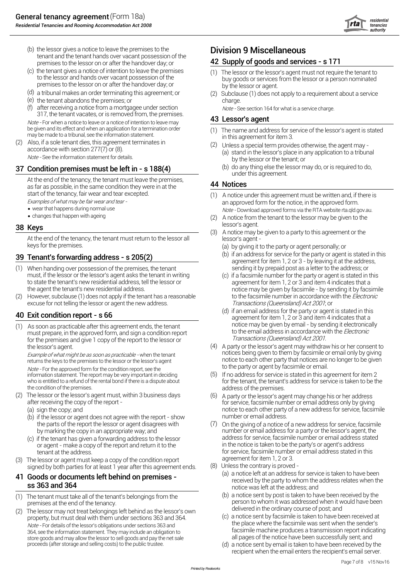

- (b) the lessor gives a notice to leave the premises to the **Division 9 Miscellaneous** tenant and the tenant hands over vacant possession of the premises to the lessor on or after the handover day; or **42 Supply of goods and services - s 171**
- (c) the tenant gives a notice of intention to leave the premises (1) The lessor or the lessor's agent must not require the tenant to to the lessor and hands over vacant possession of the  $\frac{1}{2}$  to the lessor or a person premises to the lessor on or after the handover day; or by the lessor or agent.
- (d) a tribunal makes an order terminating this agreement; or
- (e) charge. the tenant abandons the premises; or
- (f) after receiving a notice from a mortgagee under section  $\omega$  Note See section 164 for what is a service charge.<br>  $\omega$  For when a notice to leave or a notice of intention to leave may be given and its effect and wh after receiving a notice from a mortgagee under section
- 

as far as possible, in the same condition they were in at the

- wear that happens during normal use
- changes that happen with ageing

At the end of the tenancy, the tenant must return to the lessor all<br>keys for the premises.

- (1) sending it by prepaid post as a letter to the address; or When handing over possession of the premises, the tenant must, if the lessor or the lessor's agent asks the tenant in writing (c) if a facsimile number for the party or agent is stated in this to state the tenant's new residential address. tell the lessor or ance ment for item 1 to state the tenant's new residential address, tell the lessor or agreement for item 1, 2 or 3 and item 4 indicates that a<br>the agent the tenant's new residential address.
- (2) However, subclause (1) does not apply if the tenant has a reasonable to the facsimile number in accordance with the *Electronic* excuse for not telling the lessor or agent the new address. The mass of Transactions (Queensland) Act 2001; or

 $(1)$  As soon as practicable after this agreement ends, the tenant must prepare, in the approved form, and sign a condition report for the premises and give 1 copy of the report to the lessor or *Transactions (Queensland) Act 2001*.

Example of what might be as soon as practicable - when the tenant returns the keys to the premises to the lessor or the lessor's agent

Note - For the approved form for the condition report, see the information statement. The report may be very important in deciding<br>who is entitled to a refund of the rental bond if there is a dispute about

- (2) The lessor or the lessor's agent must, within 3 business days after receiving the copy of the report -
	-
	- (b) if the lessor or agent does not agree with the report show the parts of the report the lessor or agent disagrees with (7)
	- (c) if the tenant has given a forwarding address to the lessor address for service, facsimile number or email address stated resor or adent make a copy of the report and return it to the or agent - make a copy of the report and return it to the
- agreement for item 1, 2 or 3. (3) The lessor or agent must keep a copy of the condition report

### 41 Goods or documents left behind on premises **ss 363 and 364** notice was left at the address; and

- 
- (2) The lessor may not treat belongings left behind as the lessor's own delivered in the ordinary course of post; and<br>Interventy but must deal with them under sections 363 and 364 (3) a notice sent by facsimile is taken to property, but must deal with them under sections 363 and 364.<br>Note - For details of the lessor's obligations under sections 363 and 364. 364, see the information statement. They may include an obligation to store goods and may allow the lessor to sell goods and pay the net sale proceeds (after storage and selling costs) to the public trustee.

- buy goods or services from the lessor or a person nominated
- (2) Subclause (1) does not apply to a requirement about a service

- be given and its effect and when an application for a termination order (1) The name and address for service of the lessor's agent is stated<br>may be made to a tribunal, see the information statement.<br>(2) Also, if a sole te
	- Also, if a sole tenant dies, this agreement terminates in (2) Unless a special term provides otherwise, the agent may -<br>accordance with section 277(7) or (8). (a) stand in the lessor's place in any application to a tribun by the lessor or the tenant; or Unless a special term provides otherwise, the agent may -
- 37 Condition premises must be left in s  $188(4)$  (b) do any thing else the lessor may do, or is required to do, under this agreement.

- start of the tenancy, fair wear and tear excepted. (1) A notice under this agreement must be written and, if there is<br>Examples of what may be fair wear and tear an approved form for the notice, in the approved form. Note - Download approved forms via the RTA website rta.qld.gov.au.
- $(2)$  A notice from the tenant to the lessor may be given to the **18 Keys** lessor's agent.
	- (3) A notice may be given to a party to this agreement or the
		- (a) by giving it to the party or agent personally; or
- **39 Tenant's forwarding address s 205(2)** (b) if an address for service for the party or agent is stated in this agreement for item 1, 2 or 3 by leaving it at the address,<br>(1) When handing over possession of the premi
	- notice may be given by facsimile by sending it by facsimile
- (d) if an email address for the party or agent is stated in this agreement for item 1, 2 or 3 and item 4 indicates that a<br>
(1) As soon as practicable after this agreement ends, the tenant motice may be given by email by to the email address in accordance with the Electronic
	- the lessor's agent may withdraw his or her consent to<br>Frame of what might he as soon as practicable when the tenant<br>protices being given to them by facsimile or email only by giving notice to each other party that notices are no longer to be given<br>to the party or agent by facsimile or email. A party or the lessor's agent may withdraw his or her consent to
	- who is entitled to a refund of the rental bond if there is a dispute about for the tenant, the tenant's address for service is taken to be the the condition of the premises. address of the premises.  $(5)$  If no address for service is stated in this agreement for item 2
	- for service, facsimile number or email address only by giving (a) sign the copy; and and the copy; and notice to each other party of a new address for service, facsimile<br>(b) if the lessor or agent does not agree with the report - show number or email address.  $(6)$  A party or the lessor's agent may change his or her address
		- by marking the copy in an appropriate way; and number or email address for a party or the lessor's agent, the<br>If the tenant has given a forwarding address to the lessor and address for service, facsimile number or email ad tenant at the address.<br>
		lessor or agent must keep a copy of the condition report and agreement for item 1, 2 or 3. On the giving of a notice of a new address for service, facsimile
			-
	- signed by both parties for at least 1 year after this agreement ends. (8) Unless the contrary is proved -<br>Coode or dooumente left bobind on promines received by the party to whom the address relates when the
- (1) The tenant must take all of the tenant's belongings from the (b) a notice sent by post is taken to have been received by the person to whom it was addressed when it would have been person to whom it was addressed when person to whom it was addressed when it would have been<br>delivered in the ordinary course of post; and
	- facsimile machine produces a transmission report indicating<br>all pages of the notice have been successfully sent; and
	- (d) a notice sent by email is taken to have been received by the recipient when the email enters the recipient's email server.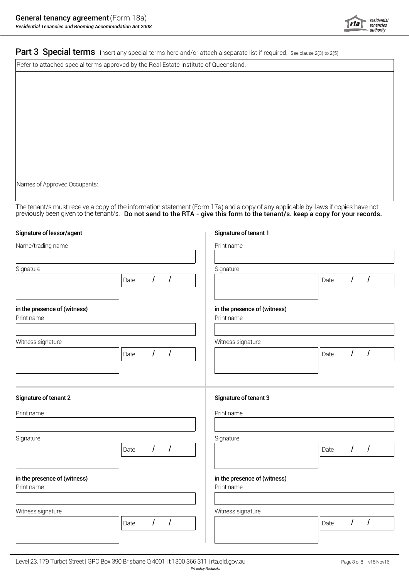

Part 3 Special terms Insert any special terms here and/or attach a separate list if required. See clause 2(3) to 2(5)

Refer to attached special terms approved by the Real Estate Institute of Queensland.

Names of Approved Occupants:

The tenant/s must receive a copy of the information statement (Form 17a) and a copy of any applicable by-laws if copies have not previously been given to the tenant/s. Do not send to the RTA - give this form to the tenant/s. keep a copy for your records.

### Signature of lessor/agent Signature of tenant 1

| Name/trading name                          |      |          |                | Print name                                 |                              |  |  |  |
|--------------------------------------------|------|----------|----------------|--------------------------------------------|------------------------------|--|--|--|
|                                            |      |          |                |                                            |                              |  |  |  |
| Signature                                  |      |          |                | Signature                                  |                              |  |  |  |
|                                            | Date | I        | 1              |                                            | $\prime$<br>Ι<br>Date        |  |  |  |
| in the presence of (witness)<br>Print name |      |          |                | in the presence of (witness)<br>Print name |                              |  |  |  |
| Witness signature                          |      |          |                | Witness signature                          |                              |  |  |  |
|                                            | Date | $\prime$ | $\overline{I}$ |                                            | $\overline{I}$<br>I<br>Date  |  |  |  |
| Signature of tenant 2<br>Print name        |      |          |                | Signature of tenant 3<br>Print name        |                              |  |  |  |
| Signature                                  |      |          |                | Signature                                  |                              |  |  |  |
|                                            | Date | $\prime$ | $\prime$       |                                            | $\prime$<br>I<br>Date        |  |  |  |
| in the presence of (witness)<br>Print name |      |          |                | in the presence of (witness)<br>Print name |                              |  |  |  |
| Witness signature                          |      |          |                | Witness signature                          |                              |  |  |  |
|                                            | Date | $\prime$ | I              |                                            | $\prime$<br>$\prime$<br>Date |  |  |  |
|                                            |      |          |                |                                            |                              |  |  |  |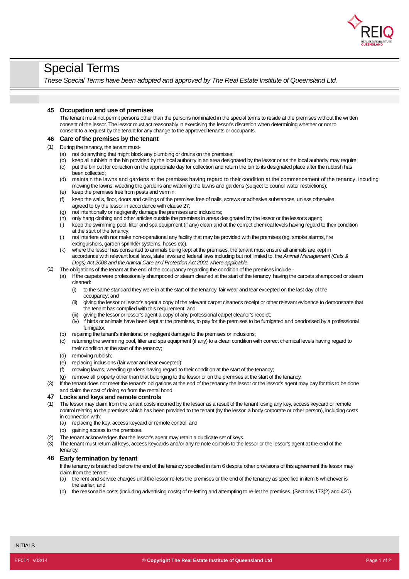

# Special Terms

*These Special Terms have been adopted and approved by The Real Estate Institute of Queensland Ltd.*

### **45 Occupation and use of premises**

The tenant must not permit persons other than the persons nominated in the special terms to reside at the premises without the written consent of the lessor. The lessor must act reasonably in exercising the lessor's discretion when determining whether or not to consent to a request by the tenant for any change to the approved tenants or occupants.

### **46 Care of the premises by the tenant**

- (1) During the tenancy, the tenant must-
	- (a) not do anything that might block any plumbing or drains on the premises;
	- $(h)$ keep all rubbish in the bin provided by the local authority in an area designated by the lessor or as the local authority may require;
	- (c) been collected; put the bin out for collection on the appropriate day for collection and return the bin to its designated place after the rubbish has
	- (d) maintain the lawns and gardens at the premises having regard to their condition at the commencement of the tenancy, incuding mowing the lawns, weeding the gardens and watering the lawns and gardens (subject to council water restrictions);
	- (e) keep the premises free from pests and vermin;
	- (f) agreed to by the lessor in accordance with clause 27; keep the walls, floor, doors and ceilings of the premises free of nails, screws or adhesive substances, unless otherwise
	- (g) not intentionally or negligently damage the premises and inclusions;
	- (h) only hang clothing and other articles outside the premises in areas designated by the lessor or the lessor's agent;
	- (i) at the start of the tenancy; keep the swimming pool, filter and spa equipment (if any) clean and at the correct chemical levels having regard to their condition
	- (j) extinguishers, garden sprinkler systems, hoses etc). not interfere with nor make non-operational any facility that may be provided with the premises (eg. smoke alarms, fire
	- (k) where the lessor has consented to animals being kept at the premises, the tenant must ensure all animals are kept in accordance with relevant local laws, state laws and federal laws including but not limited to, the *Animal Management (Cats & Dogs) Act 2008 and theAnimal Care and Protection Act 2001 where applicable.*

### (2) The obligations of the tenant at the end of the occupancy regarding the condition of the premises include -

- (a) If the carpets were professionally shampooed or steam cleaned at the start of the tenancy, having the carpets shampooed or steam cleaned:
	- (i) occupancy; and to the same standard they were in at the start of the tenancy, fair wear and tear excepted on the last day of the
	- (ii) giving the lessor or lessor's agent a copy of the relevant carpet cleaner's receipt or other relevant evidence to demonstrate that the tenant has complied with this requirement; and
	- (iii) giving the lessor or lessor's agent a copy of any professional carpet cleaner's receipt;
	- (iv) if birds or animals have been kept at the premises, to pay for the premises to be fumigated and deodorised by a professional fumigator.
- (b) repairing the tenant's intentional or negligent damage to the premises or inclusions;
- (c) returning the swimming pool, filter and spa equipment (if any) to a clean condition with correct chemical levels having regard to their condition at the start of the tenancy;
- (d) removing rubbish;
- (e) replacing inclusions (fair wear and tear excepted);
- (f) mowing lawns, weeding gardens having regard to their condition at the start of the tenancy;
- (g) remove all property other than that belonging to the lessor or on the premises at the start of the tenancy.
- (3) If the tenant does not meet the tenant's obligations at the end of the tenancy the lessor or the lessor's agent may pay for this to be done and claim the cost of doing so from the rental bond.

### **47 Locks and keys and remote controls**

- (1) The lessor may claim from the tenant costs incurred by the lessor as a result of the tenant losing any key, access keycard or remote control relating to the premises which has been provided to the tenant (by the lessor, a body corporate or other person), including costs in connection with:
	- (a) replacing the key, access keycard or remote control; and
	- (b) gaining access to the premises.
- (2) The tenant acknowledges that the lessor's agent may retain a duplicate set of keys.
- (3) tenancy. The tenant must return all keys, access keycards and/or any remote controls to the lessor or the lessor's agent at the end of the

### **48 Early termination by tenant**

If the tenancy is breached before the end of the tenancy specified in item 6 despite other provisions of this agreement the lessor may claim from the tenant -

- (a) the earlier; and the rent and service charges until the lessor re-lets the premises or the end of the tenancy as specified in item 6 whichever is
- (b) the reasonable costs (including advertising costs) of re-letting and attempting to re-let the premises. (Sections 173(2) and 420).